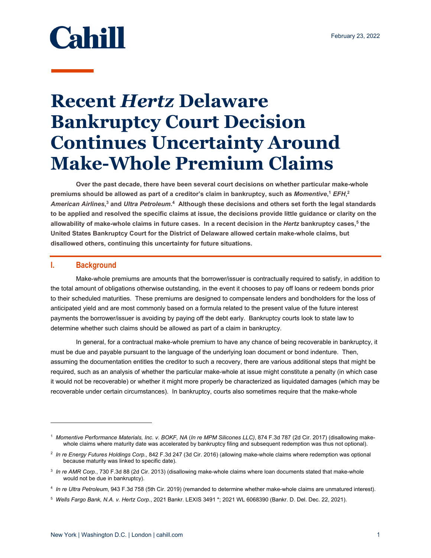# **Cahill**

## **Recent** *Hertz* **Delaware Bankruptcy Court Decision Continues Uncertainty Around Make-Whole Premium Claims**

**Over the past decade, there have been several court decisions on whether particular make-whole premiums should be allowed as part of a creditor's claim in bankruptcy, such as** *Momentive***, <sup>1</sup>** *EFH***, 2** *American Airlines***, 3 and** *Ultra Petroleum***. 4 Although these decisions and others set forth the legal standards to be applied and resolved the specific claims at issue, the decisions provide little guidance or clarity on the allowability of make-whole claims in future cases. In a recent decision in the** *Hertz* **bankruptcy cases,5 the United States Bankruptcy Court for the District of Delaware allowed certain make-whole claims, but disallowed others, continuing this uncertainty for future situations.** 

#### **I. Background**

Make-whole premiums are amounts that the borrower/issuer is contractually required to satisfy, in addition to the total amount of obligations otherwise outstanding, in the event it chooses to pay off loans or redeem bonds prior to their scheduled maturities. These premiums are designed to compensate lenders and bondholders for the loss of anticipated yield and are most commonly based on a formula related to the present value of the future interest payments the borrower/issuer is avoiding by paying off the debt early. Bankruptcy courts look to state law to determine whether such claims should be allowed as part of a claim in bankruptcy.

In general, for a contractual make-whole premium to have any chance of being recoverable in bankruptcy, it must be due and payable pursuant to the language of the underlying loan document or bond indenture. Then, assuming the documentation entitles the creditor to such a recovery, there are various additional steps that might be required, such as an analysis of whether the particular make-whole at issue might constitute a penalty (in which case it would not be recoverable) or whether it might more properly be characterized as liquidated damages (which may be recoverable under certain circumstances). In bankruptcy, courts also sometimes require that the make-whole

<sup>&</sup>lt;sup>1</sup> Momentive Performance Materials, Inc. v. BOKF, NA (In re MPM Silicones LLC), 874 F.3d 787 (2d Cir. 2017) (disallowing makewhole claims where maturity date was accelerated by bankruptcy filing and subsequent redemption was thus not optional).

<sup>2</sup> *In re Energy Futures Holdings Corp.,* 842 F.3d 247 (3d Cir. 2016) (allowing make-whole claims where redemption was optional because maturity was linked to specific date).

<sup>3</sup> *In re AMR Corp.*, 730 F.3d 88 (2d Cir. 2013) (disallowing make-whole claims where loan documents stated that make-whole would not be due in bankruptcy).

<sup>4</sup> *In re Ultra Petroleum*, 943 F.3d 758 (5th Cir. 2019) (remanded to determine whether make-whole claims are unmatured interest).

<sup>5</sup> *Wells Fargo Bank, N.A. v. Hertz Corp.*, 2021 Bankr. LEXIS 3491 \*; 2021 WL 6068390 (Bankr. D. Del. Dec. 22, 2021).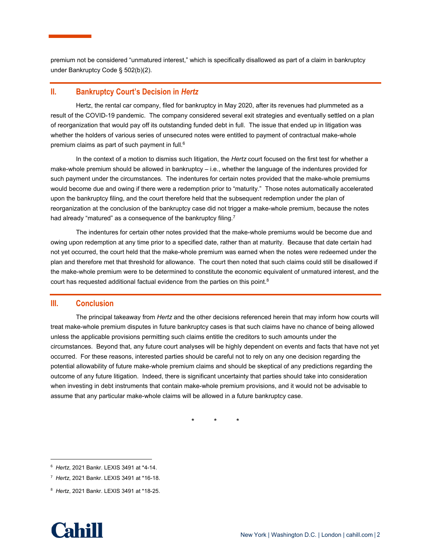premium not be considered "unmatured interest," which is specifically disallowed as part of a claim in bankruptcy under Bankruptcy Code § 502(b)(2).

#### **II. Bankruptcy Court's Decision in** *Hertz*

Hertz, the rental car company, filed for bankruptcy in May 2020, after its revenues had plummeted as a result of the COVID-19 pandemic. The company considered several exit strategies and eventually settled on a plan of reorganization that would pay off its outstanding funded debt in full. The issue that ended up in litigation was whether the holders of various series of unsecured notes were entitled to payment of contractual make-whole premium claims as part of such payment in full.6

In the context of a motion to dismiss such litigation, the *Hertz* court focused on the first test for whether a make-whole premium should be allowed in bankruptcy – i.e., whether the language of the indentures provided for such payment under the circumstances. The indentures for certain notes provided that the make-whole premiums would become due and owing if there were a redemption prior to "maturity." Those notes automatically accelerated upon the bankruptcy filing, and the court therefore held that the subsequent redemption under the plan of reorganization at the conclusion of the bankruptcy case did not trigger a make-whole premium, because the notes had already "matured" as a consequence of the bankruptcy filing.<sup>7</sup>

The indentures for certain other notes provided that the make-whole premiums would be become due and owing upon redemption at any time prior to a specified date, rather than at maturity. Because that date certain had not yet occurred, the court held that the make-whole premium was earned when the notes were redeemed under the plan and therefore met that threshold for allowance. The court then noted that such claims could still be disallowed if the make-whole premium were to be determined to constitute the economic equivalent of unmatured interest, and the court has requested additional factual evidence from the parties on this point.<sup>8</sup>

### **III. Conclusion**

The principal takeaway from *Hertz* and the other decisions referenced herein that may inform how courts will treat make-whole premium disputes in future bankruptcy cases is that such claims have no chance of being allowed unless the applicable provisions permitting such claims entitle the creditors to such amounts under the circumstances. Beyond that, any future court analyses will be highly dependent on events and facts that have not yet occurred. For these reasons, interested parties should be careful not to rely on any one decision regarding the potential allowability of future make-whole premium claims and should be skeptical of any predictions regarding the outcome of any future litigation. Indeed, there is significant uncertainty that parties should take into consideration when investing in debt instruments that contain make-whole premium provisions, and it would not be advisable to assume that any particular make-whole claims will be allowed in a future bankruptcy case.

\* \* \*

<sup>8</sup> *Hertz*, 2021 Bankr. LEXIS 3491 at \*18-25.



<sup>6</sup> *Hertz*, 2021 Bankr. LEXIS 3491 at \*4-14.

<sup>7</sup> *Hertz*, 2021 Bankr. LEXIS 3491 at \*16-18.